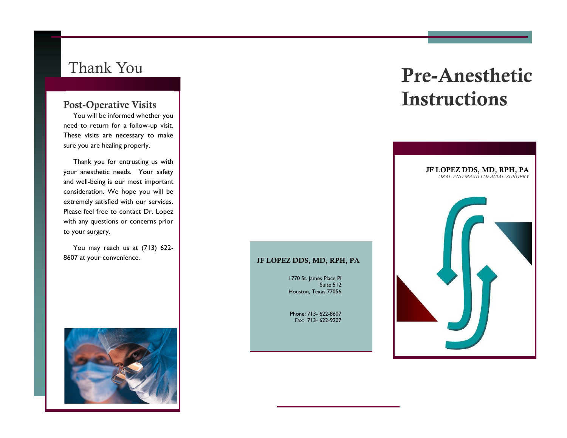You will be informed whether you need to return for a follow-up visit. These visits are necessary to make sure you are healing properly.

 Thank you for entrusting us with your anesthetic needs. Your safety and well-being is our most important consideration. We hope you will be extremely satisfied with our services. Please feel free to contact Dr. Lopez with any questions or concerns prior to your surgery.

 You may reach us at (713) 622- 8607 at your convenience.



# Thank You Pre-Anesthetic Post-Operative Visits **Instructions**



#### JF LOPEZ DDS, MD, RPH, PA

1770 St. James Place Pl Suite 512 Houston, Texas 77056

Phone: 713- 622-8607 Fax: 713- 622-9207